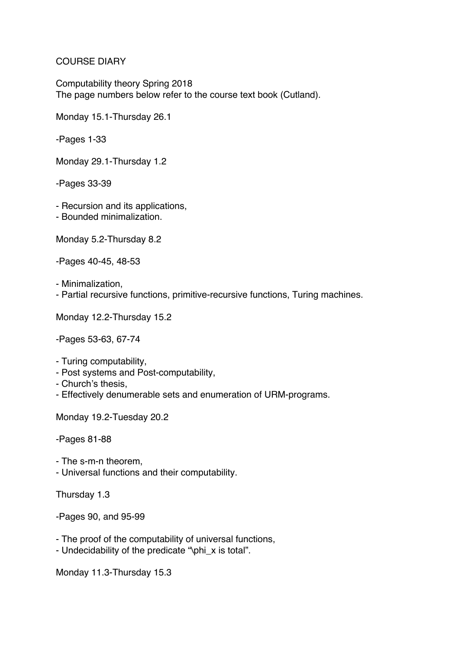## COURSE DIARY

Computability theory Spring 2018 The page numbers below refer to the course text book (Cutland).

Monday 15.1-Thursday 26.1

-Pages 1-33

Monday 29.1-Thursday 1.2

-Pages 33-39

- Recursion and its applications,
- Bounded minimalization.

Monday 5.2-Thursday 8.2

-Pages 40-45, 48-53

- Minimalization,

- Partial recursive functions, primitive-recursive functions, Turing machines.

Monday 12.2-Thursday 15.2

-Pages 53-63, 67-74

- Turing computability,
- Post systems and Post-computability,
- Church's thesis,
- Effectively denumerable sets and enumeration of URM-programs.

Monday 19.2-Tuesday 20.2

-Pages 81-88

- The s-m-n theorem,
- Universal functions and their computability.

Thursday 1.3

-Pages 90, and 95-99

- The proof of the computability of universal functions,
- Undecidability of the predicate "\phi\_x is total".

Monday 11.3-Thursday 15.3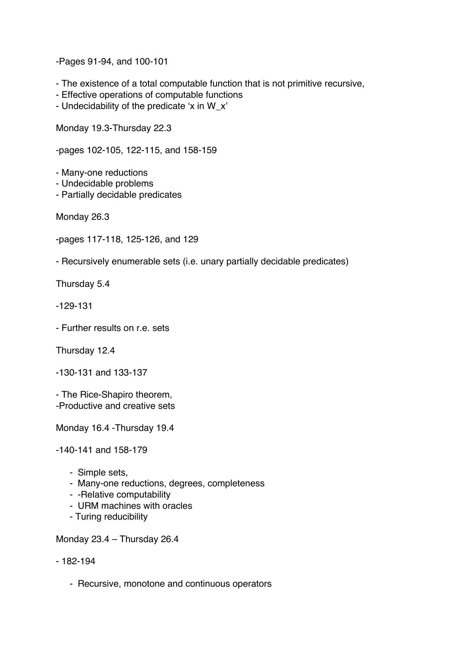-Pages 91-94, and 100-101

- The existence of a total computable function that is not primitive recursive,
- Effective operations of computable functions
- Undecidability of the predicate 'x in W\_x'

Monday 19.3-Thursday 22.3

-pages 102-105, 122-115, and 158-159

- Many-one reductions
- Undecidable problems
- Partially decidable predicates

Monday 26.3

- -pages 117-118, 125-126, and 129
- Recursively enumerable sets (i.e. unary partially decidable predicates)

Thursday 5.4

- -129-131
- Further results on r.e. sets

Thursday 12.4

-130-131 and 133-137

- The Rice-Shapiro theorem, -Productive and creative sets

Monday 16.4 -Thursday 19.4

-140-141 and 158-179

- Simple sets,
- Many-one reductions, degrees, completeness
- -Relative computability
- URM machines with oracles
- Turing reducibility

Monday 23.4 – Thursday 26.4

## - 182-194

- Recursive, monotone and continuous operators